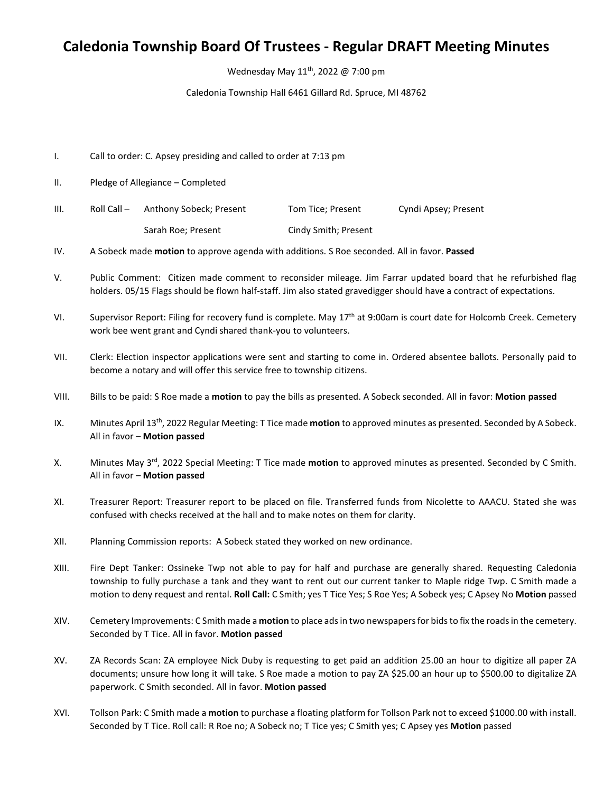## **Caledonia Township Board Of Trustees - Regular DRAFT Meeting Minutes**

Wednesday May 11<sup>th</sup>, 2022 @ 7:00 pm

Caledonia Township Hall 6461 Gillard Rd. Spruce, MI 48762

- I. Call to order: C. Apsey presiding and called to order at 7:13 pm
- II. Pledge of Allegiance Completed
- III. Roll Call Anthony Sobeck; Present Tom Tice; Present Cyndi Apsey; Present Sarah Roe; Present Cindy Smith; Present
- IV. A Sobeck made **motion** to approve agenda with additions. S Roe seconded. All in favor. **Passed**
- V. Public Comment: Citizen made comment to reconsider mileage. Jim Farrar updated board that he refurbished flag holders. 05/15 Flags should be flown half-staff. Jim also stated gravedigger should have a contract of expectations.
- VI. Supervisor Report: Filing for recovery fund is complete. May 17<sup>th</sup> at 9:00am is court date for Holcomb Creek. Cemetery work bee went grant and Cyndi shared thank-you to volunteers.
- VII. Clerk: Election inspector applications were sent and starting to come in. Ordered absentee ballots. Personally paid to become a notary and will offer this service free to township citizens.
- VIII. Bills to be paid: S Roe made a **motion** to pay the bills as presented. A Sobeck seconded. All in favor: **Motion passed**
- IX. Minutes April 13th, 2022 Regular Meeting: T Tice made **motion** to approved minutes as presented. Seconded by A Sobeck. All in favor – **Motion passed**
- X. Minutes May 3rd, 2022 Special Meeting: T Tice made **motion** to approved minutes as presented. Seconded by C Smith. All in favor – **Motion passed**
- XI. Treasurer Report: Treasurer report to be placed on file. Transferred funds from Nicolette to AAACU. Stated she was confused with checks received at the hall and to make notes on them for clarity.
- XII. Planning Commission reports: A Sobeck stated they worked on new ordinance.
- XIII. Fire Dept Tanker: Ossineke Twp not able to pay for half and purchase are generally shared. Requesting Caledonia township to fully purchase a tank and they want to rent out our current tanker to Maple ridge Twp. C Smith made a motion to deny request and rental. **Roll Call:** C Smith; yes T Tice Yes; S Roe Yes; A Sobeck yes; C Apsey No **Motion** passed
- XIV. Cemetery Improvements: C Smith made a **motion** to place ads in two newspapersfor bids to fix the roads in the cemetery. Seconded by T Tice. All in favor. **Motion passed**
- XV. ZA Records Scan: ZA employee Nick Duby is requesting to get paid an addition 25.00 an hour to digitize all paper ZA documents; unsure how long it will take. S Roe made a motion to pay ZA \$25.00 an hour up to \$500.00 to digitalize ZA paperwork. C Smith seconded. All in favor. **Motion passed**
- XVI. Tollson Park: C Smith made a **motion** to purchase a floating platform for Tollson Park not to exceed \$1000.00 with install. Seconded by T Tice. Roll call: R Roe no; A Sobeck no; T Tice yes; C Smith yes; C Apsey yes **Motion** passed